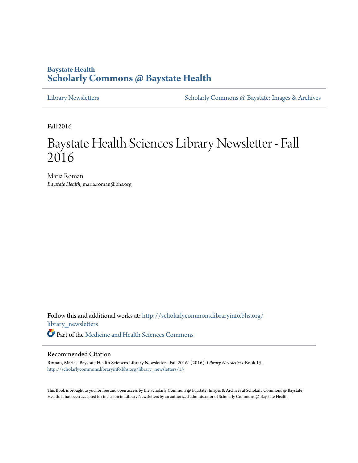# **Baystate Health [Scholarly Commons @ Baystate Health](http://scholarlycommons.libraryinfo.bhs.org?utm_source=scholarlycommons.libraryinfo.bhs.org%2Flibrary_newsletters%2F15&utm_medium=PDF&utm_campaign=PDFCoverPages)**

[Library Newsletters](http://scholarlycommons.libraryinfo.bhs.org/library_newsletters?utm_source=scholarlycommons.libraryinfo.bhs.org%2Flibrary_newsletters%2F15&utm_medium=PDF&utm_campaign=PDFCoverPages) [Scholarly Commons @ Baystate: Images & Archives](http://scholarlycommons.libraryinfo.bhs.org/images_archives?utm_source=scholarlycommons.libraryinfo.bhs.org%2Flibrary_newsletters%2F15&utm_medium=PDF&utm_campaign=PDFCoverPages)

Fall 2016

# Baystate Health Sciences Library Newsletter - Fall 2016

Maria Roman *Baystate Health*, maria.roman@bhs.org

Follow this and additional works at: [http://scholarlycommons.libraryinfo.bhs.org/](http://scholarlycommons.libraryinfo.bhs.org/library_newsletters?utm_source=scholarlycommons.libraryinfo.bhs.org%2Flibrary_newsletters%2F15&utm_medium=PDF&utm_campaign=PDFCoverPages) [library\\_newsletters](http://scholarlycommons.libraryinfo.bhs.org/library_newsletters?utm_source=scholarlycommons.libraryinfo.bhs.org%2Flibrary_newsletters%2F15&utm_medium=PDF&utm_campaign=PDFCoverPages) Part of the [Medicine and Health Sciences Commons](http://network.bepress.com/hgg/discipline/648?utm_source=scholarlycommons.libraryinfo.bhs.org%2Flibrary_newsletters%2F15&utm_medium=PDF&utm_campaign=PDFCoverPages)

# Recommended Citation

Roman, Maria, "Baystate Health Sciences Library Newsletter - Fall 2016" (2016). *Library Newsletters.* Book 15. [http://scholarlycommons.libraryinfo.bhs.org/library\\_newsletters/15](http://scholarlycommons.libraryinfo.bhs.org/library_newsletters/15?utm_source=scholarlycommons.libraryinfo.bhs.org%2Flibrary_newsletters%2F15&utm_medium=PDF&utm_campaign=PDFCoverPages)

This Book is brought to you for free and open access by the Scholarly Commons @ Baystate: Images & Archives at Scholarly Commons @ Baystate Health. It has been accepted for inclusion in Library Newsletters by an authorized administrator of Scholarly Commons @ Baystate Health.